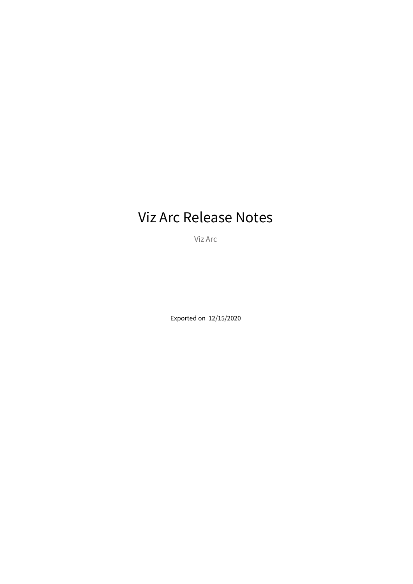# Viz Arc Release Notes

Viz Arc

Exported on 12/15/2020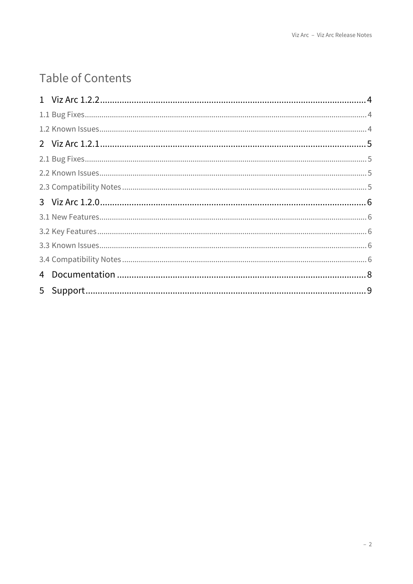# Table of Contents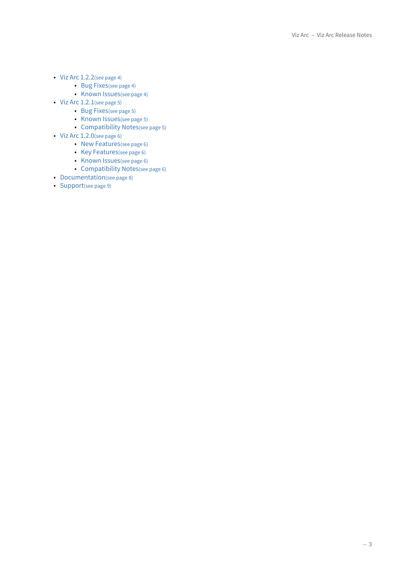- [Viz Arc 1.2.2](#page-3-0)[\(see page 4\)](#page-3-0)
	- [Bug Fixes](#page-3-1)[\(see page 4\)](#page-3-1)
	- [Known Issues](#page-3-2)[\(see page 4\)](#page-3-2)
- [Viz Arc 1.2.1](#page-4-0)[\(see page 5\)](#page-4-0)
	- [Bug Fixes](#page-4-1)[\(see page 5\)](#page-4-1)
	- [Known Issues](#page-4-2)[\(see page 5\)](#page-4-2)
	- [Compatibility Notes](#page-4-3)[\(see page 5\)](#page-4-3)
- [Viz Arc 1.2.0](#page-5-0)[\(see page 6\)](#page-5-0)
	- [New Features](#page-5-1)[\(see page 6\)](#page-5-1)
	- [Key Features](#page-5-2)[\(see page 6\)](#page-5-2)
	- [Known Issues](#page-5-3)[\(see page 6\)](#page-5-3)
	- [Compatibility Notes](#page-5-4)[\(see page 6\)](#page-5-4)
- [Documentation](#page-7-0)[\(see page 8\)](#page-7-0)
- [Support](#page-8-0)[\(see page 9\)](#page-8-0)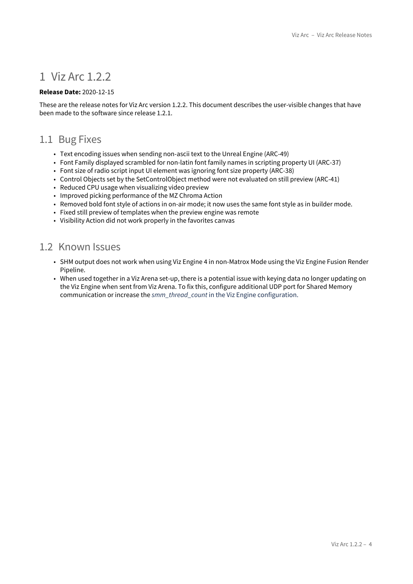## <span id="page-3-0"></span>1 Viz Arc 1.2.2

#### **Release Date:** 2020-12-15

These are the release notes for Viz Arc version 1.2.2. This document describes the user-visible changes that have been made to the software since release 1.2.1.

### <span id="page-3-1"></span>1.1 Bug Fixes

- Text encoding issues when sending non-ascii text to the Unreal Engine (ARC-49)
- Font Family displayed scrambled for non-latin font family names in scripting property UI (ARC-37)
- Font size of radio script input UI element was ignoring font size property (ARC-38)
- Control Objects set by the SetControlObject method were not evaluated on still preview (ARC-41)
- Reduced CPU usage when visualizing video preview
- Improved picking performance of the MZ Chroma Action
- Removed bold font style of actions in on-air mode; it now uses the same font style as in builder mode.
- Fixed still preview of templates when the preview engine was remote
- Visibility Action did not work properly in the favorites canvas

### <span id="page-3-2"></span>1.2 Known Issues

- SHM output does not work when using Viz Engine 4 in non-Matrox Mode using the Viz Engine Fusion Render Pipeline.
- When used together in a Viz Arena set-up, there is a potential issue with keying data no longer updating on the Viz Engine when sent from Viz Arena. To fix this, configure additional UDP port for Shared Memory communication or increase the *smm\_thread\_count* in the Viz Engine configuration.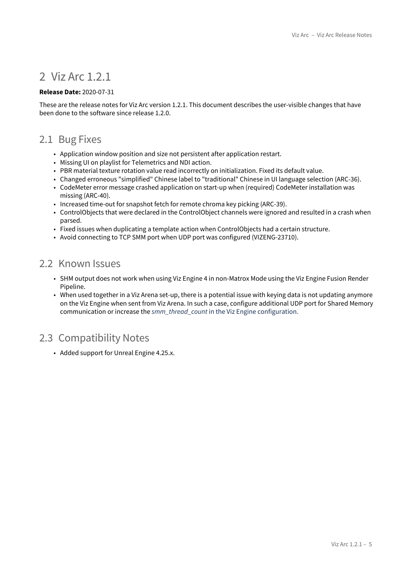## <span id="page-4-0"></span>2 Viz Arc 1.2.1

#### **Release Date:** 2020-07-31

These are the release notes for Viz Arc version 1.2.1. This document describes the user-visible changes that have been done to the software since release 1.2.0.

### <span id="page-4-1"></span>2.1 Bug Fixes

- Application window position and size not persistent after application restart.
- Missing UI on playlist for Telemetrics and NDI action.
- PBR material texture rotation value read incorrectly on initialization. Fixed its default value.
- Changed erroneous "simplified" Chinese label to "traditional" Chinese in UI language selection (ARC-36).
- CodeMeter error message crashed application on start-up when (required) CodeMeter installation was missing (ARC-40).
- Increased time-out for snapshot fetch for remote chroma key picking (ARC-39).
- ControlObjects that were declared in the ControlObject channels were ignored and resulted in a crash when parsed.
- Fixed issues when duplicating a template action when ControlObjects had a certain structure.
- Avoid connecting to TCP SMM port when UDP port was configured (VIZENG-23710).

### <span id="page-4-2"></span>2.2 Known Issues

- SHM output does not work when using Viz Engine 4 in non-Matrox Mode using the Viz Engine Fusion Render Pipeline.
- When used together in a Viz Arena set-up, there is a potential issue with keying data is not updating anymore on the Viz Engine when sent from Viz Arena. In such a case, configure additional UDP port for Shared Memory communication or increase the *smm\_thread\_count* in the Viz Engine configuration.

## <span id="page-4-3"></span>2.3 Compatibility Notes

• Added support for Unreal Engine 4.25.x.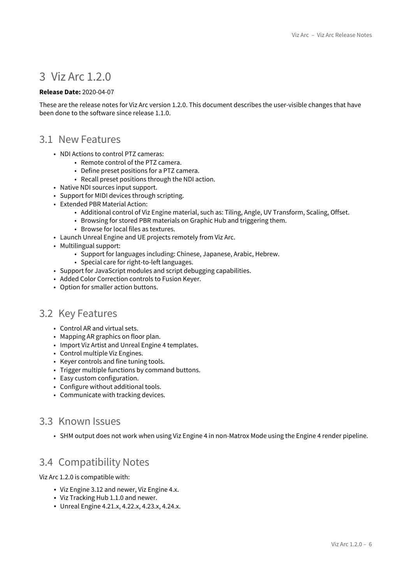## <span id="page-5-0"></span>3 Viz Arc 1.2.0

#### **Release Date:** 2020-04-07

These are the release notes for Viz Arc version 1.2.0. This document describes the user-visible changes that have been done to the software since release 1.1.0.

#### <span id="page-5-1"></span>3.1 New Features

- NDI Actions to control PTZ cameras:
	- Remote control of the PTZ camera.
	- Define preset positions for a PTZ camera.
	- Recall preset positions through the NDI action.
- Native NDI sources input support.
- Support for MIDI devices through scripting.
- Extended PBR Material Action:
	- Additional control of Viz Engine material, such as: Tiling, Angle, UV Transform, Scaling, Offset.
	- Browsing for stored PBR materials on Graphic Hub and triggering them.
		- Browse for local files as textures.
- Launch Unreal Engine and UE projects remotely from Viz Arc.
- Multilingual support:
	- Support for languages including: Chinese, Japanese, Arabic, Hebrew.
	- Special care for right-to-left languages.
- Support for JavaScript modules and script debugging capabilities.
- Added Color Correction controls to Fusion Keyer.
- Option for smaller action buttons.

### <span id="page-5-2"></span>3.2 Key Features

- Control AR and virtual sets.
- Mapping AR graphics on floor plan.
- Import Viz Artist and Unreal Engine 4 templates.
- Control multiple Viz Engines.
- Keyer controls and fine tuning tools.
- Trigger multiple functions by command buttons.
- Easy custom configuration.
- Configure without additional tools.
- Communicate with tracking devices.

### <span id="page-5-3"></span>3.3 Known Issues

• SHM output does not work when using Viz Engine 4 in non-Matrox Mode using the Engine 4 render pipeline.

### <span id="page-5-4"></span>3.4 Compatibility Notes

Viz Arc 1.2.0 is compatible with:

- Viz Engine 3.12 and newer, Viz Engine 4.x.
- Viz Tracking Hub 1.1.0 and newer.
- Unreal Engine 4.21.x, 4.22.x, 4.23.x, 4.24.x.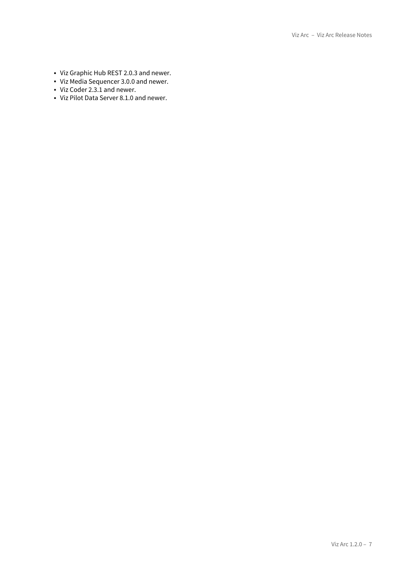- Viz Graphic Hub REST 2.0.3 and newer.
- Viz Media Sequencer 3.0.0 and newer.
- Viz Coder 2.3.1 and newer.
- Viz Pilot Data Server 8.1.0 and newer.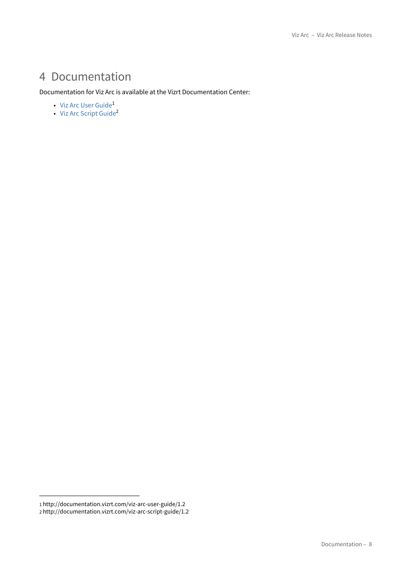# <span id="page-7-0"></span>4 Documentation

#### Documentation for Viz Arc is available at the Vizrt Documentation Center:

- [Viz Arc User Guide](http://documentation.vizrt.com/viz-arc-user-guide/1.2)<sup>[1](http://documentation.vizrt.com/viz-arc-user-guide/1.2)</sup>
- [Viz Arc Script Guide](http://documentation.vizrt.com/viz-arc-script-guide/1.2)<sup>[2](http://documentation.vizrt.com/viz-arc-script-guide/1.2)</sup>

<sup>1</sup> http://documentation.vizrt.com/viz-arc-user-guide/1.2

<sup>2</sup> http://documentation.vizrt.com/viz-arc-script-guide/1.2